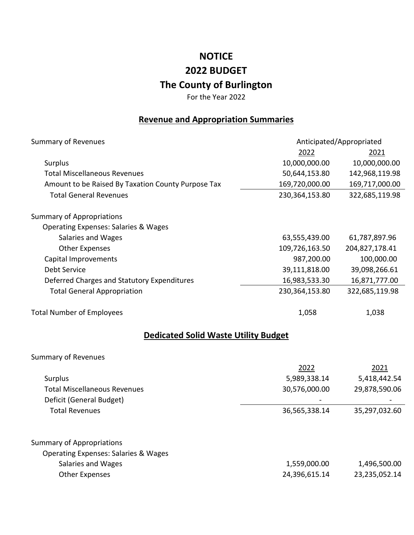## **NOTICE 2022 BUDGET The County of Burlington**

For the Year 2022

## **Revenue and Appropriation Summaries**

| <b>Summary of Revenues</b>                         | Anticipated/Appropriated |                |
|----------------------------------------------------|--------------------------|----------------|
|                                                    | 2022                     | 2021           |
| Surplus                                            | 10,000,000.00            | 10,000,000.00  |
| <b>Total Miscellaneous Revenues</b>                | 50,644,153.80            | 142,968,119.98 |
| Amount to be Raised By Taxation County Purpose Tax | 169,720,000.00           | 169,717,000.00 |
| <b>Total General Revenues</b>                      | 230,364,153.80           | 322,685,119.98 |
| <b>Summary of Appropriations</b>                   |                          |                |
| <b>Operating Expenses: Salaries &amp; Wages</b>    |                          |                |
| Salaries and Wages                                 | 63,555,439.00            | 61,787,897.96  |
| <b>Other Expenses</b>                              | 109,726,163.50           | 204,827,178.41 |
| Capital Improvements                               | 987,200.00               | 100,000.00     |
| <b>Debt Service</b>                                | 39,111,818.00            | 39,098,266.61  |
| Deferred Charges and Statutory Expenditures        | 16,983,533.30            | 16,871,777.00  |
| <b>Total General Appropriation</b>                 | 230,364,153.80           | 322,685,119.98 |
| <b>Total Number of Employees</b>                   | 1,058                    | 1,038          |
| <b>Dedicated Solid Waste Utility Budget</b>        |                          |                |
| <b>Summary of Revenues</b>                         |                          |                |
|                                                    | 2022                     | 2021           |
| Surplus                                            | 5,989,338.14             | 5,418,442.54   |
| <b>Total Miscellaneous Revenues</b>                | 30,576,000.00            | 29,878,590.06  |
| Deficit (General Budget)                           |                          |                |
| <b>Total Revenues</b>                              | 36,565,338.14            | 35,297,032.60  |
| <b>Summary of Appropriations</b>                   |                          |                |
| <b>Operating Expenses: Salaries &amp; Wages</b>    |                          |                |
| Salaries and Wages                                 | 1,559,000.00             | 1,496,500.00   |
| <b>Other Expenses</b>                              | 24,396,615.14            | 23,235,052.14  |